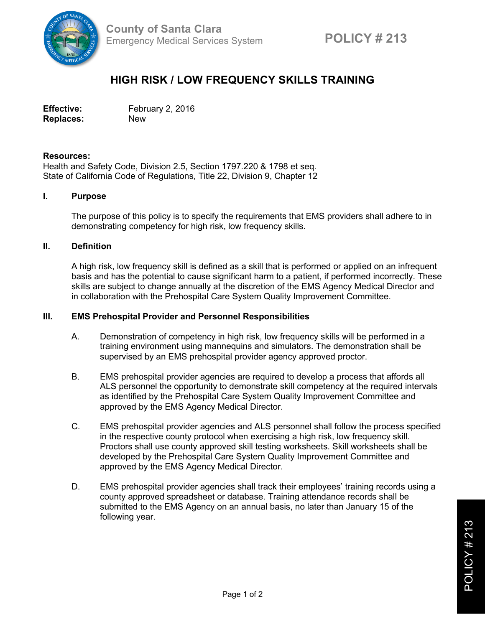

# **HIGH RISK / LOW FREQUENCY SKILLS TRAINING**

Effective: February 2, 2016 **Replaces:** New

#### **Resources:**

Health and Safety Code, Division 2.5, Section 1797.220 & 1798 et seq. State of California Code of Regulations, Title 22, Division 9, Chapter 12

## **I. Purpose**

The purpose of this policy is to specify the requirements that EMS providers shall adhere to in demonstrating competency for high risk, low frequency skills.

## **II. Definition**

A high risk, low frequency skill is defined as a skill that is performed or applied on an infrequent basis and has the potential to cause significant harm to a patient, if performed incorrectly. These skills are subject to change annually at the discretion of the EMS Agency Medical Director and in collaboration with the Prehospital Care System Quality Improvement Committee.

#### **III. EMS Prehospital Provider and Personnel Responsibilities**

- A. Demonstration of competency in high risk, low frequency skills will be performed in a training environment using mannequins and simulators. The demonstration shall be supervised by an EMS prehospital provider agency approved proctor.
- B. EMS prehospital provider agencies are required to develop a process that affords all ALS personnel the opportunity to demonstrate skill competency at the required intervals as identified by the Prehospital Care System Quality Improvement Committee and approved by the EMS Agency Medical Director.
- C. EMS prehospital provider agencies and ALS personnel shall follow the process specified in the respective county protocol when exercising a high risk, low frequency skill. Proctors shall use county approved skill testing worksheets. Skill worksheets shall be developed by the Prehospital Care System Quality Improvement Committee and approved by the EMS Agency Medical Director.
- D. EMS prehospital provider agencies shall track their employees' training records using a county approved spreadsheet or database. Training attendance records shall be submitted to the EMS Agency on an annual basis, no later than January 15 of the following year.